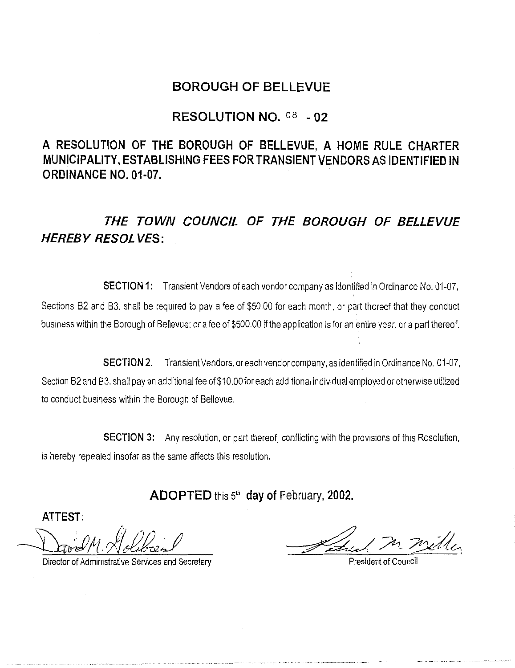## **BOROUGH OF BELLEVUE**

## **RESOLUTION NO.** os - **02**

**A RESOLUTION OF THE BOROUGH OF BELLEVUE, A HOME RULE CHARTER MUNICIPALITY, ESTABLISHING FEES FOR TRANSIENT VENDORS AS IDENTIFIED IN ORDINANCE NO. 01-07.** 

**THE TOWN COUNCIL OF THE BOROUGH OF BELLEVUE HEREBY RESOLVES:** 

**SECTION 1:** Transient Vendors of each vendor company as identified in Ordinance No. 01-07, Sections B2 and B3, shall be required to pay a fee of \$50.00 for each month, or part thereof that they conduct business within the Borough of Bellevue: or a fee of \$500.00 if the application is for an entire year. or a part thereof.

**SECTION 2.** Transient Vendors, or each vendor company, as identified in Ordinance No. 01-07, Section B2 and B3, shall pay an additional fee of \$10.00 for each additional individual employed or otherwise utilized to conduct business within the Borough of Bellevue.

**SECTION 3:** Any resolution, or part thereof, conflicting with the provisions of this Resolution, is hereby repealed insofar as the same affects this resolution.

**ADOPTED** this 5th **day of** February, **2002.** 

**ATTEST:** 

David M. Holsbread

Director of Administrative Services and Secretary.

Aztrich M. Willer

President of Council '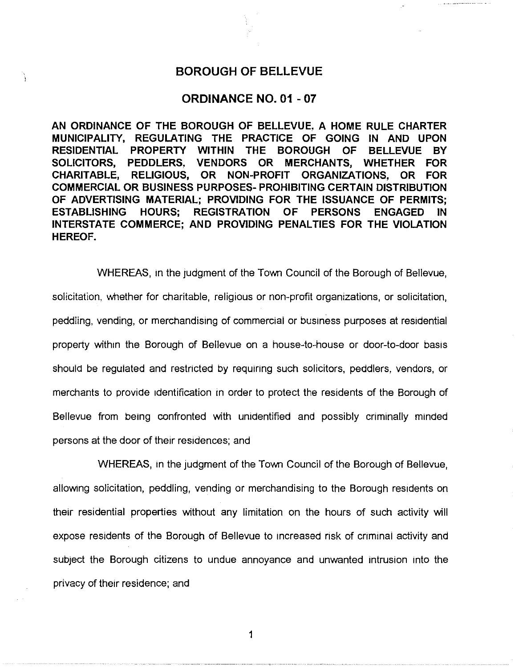## **BOROUGH OF BELLEVUE**

ì

## **ORDINANCE NO. 01 - 07**

**AN ORDINANCE OF THE BOROUGH OF BELLEVUE. A HOME RULE CHARTER MUNICIPALITY, REGULATING THE PRACTICE OF GOING IN AND UPON RESIDENTIAL PROPERTY WITHIN THE BOROUGH OF BELLEVUE BY SOLICITORS, PEDDLERS. VENDORS OR MERCHANTS, WHETHER FOR CHARITABLE, RELIGIOUS, OR NON-PROFIT ORGANIZATIONS, OR FOR COMMERCIAL OR BUSINESS PURPOSES- PROHIBITING CERTAIN DISTRIBUTION OF ADVERTISING MATERIAL; PROVIDING FOR THE ISSUANCE OF PERMITS; ESTABLISHING HOURS; REGISTRATION OF PERSONS ENGAGED IN INTERSTATE COMMERCE; AND PROVIDING PENALTIES FOR THE VIOLATION HEREOF.** 

WHEREAS, in the judgment of the Town Council of the Borough of Bellevue, solicitation, whether for charitable, religious or non-profit organizations, or solicitation, peddling, vending, or merchandising of commercial or business purposes at residential property within the Borough of Bellevue on a house-to-house or door-to-door basis should be regulated and restricted by requiring such solicitors, peddlers, vendors, or merchants to provide identification in order to protect the residents of the Borough of Bellevue from being confronted with unidentified and possibly criminally minded persons at the door of their residences; and

WHEREAS, in the judgment of the Town Council of the Borough of Bellevue, allowing solicitation, peddling, vending or merchandising to the Borough residents on their residential properties without any limitation on the hours of such activity will expose residents of the Borough of Bellevue to increased risk of criminal activity and subject the Borough citizens to undue annoyance and unwanted intrusion into the privacy of their residence; and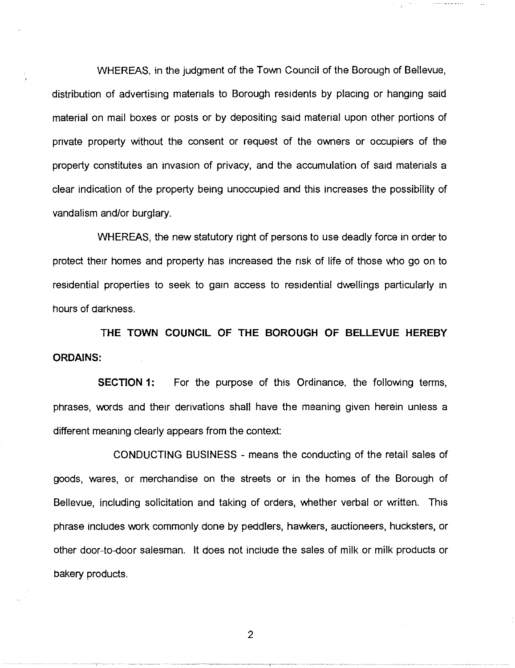WHEREAS, in the judgment of the Town Council of the Borough of Bellevue, distribution of advertising materials to Borough residents by placing or hanging said material on mail boxes or posts or by depositing said material upon other portions of private property without the consent or request of the owners or occupiers of the property constitutes an invasion of privacy, and the accumulation of said materials a clear indication of the property being unoccupied and this increases the possibility of vandalism and/or burglary.

WHEREAS, the new statutory right of persons to use deadly force in order to protect their homes and property has increased the risk of life of those who go on to residential properties to seek to gain access to residential dwellings particularly in hours of darkness.

**THE TOWN COUNCIL OF THE BOROUGH OF BELLEVUE HEREBY ORDAINS:** 

**SECTION 1:** For the purpose of this Ordinance, the following terms, phrases, words and their derivations shall have the meaning given herein unless a different meaning clearly appears from the context:

CONDUCTING BUSINESS - means the conducting of the retail sales of goods, wares, or merchandise on the streets or in the homes of the Borough of Bellevue, including solicitation and taking of orders, whether verbal or written. This phrase includes work commonly done by peddlers, hawkers, auctioneers, hucksters, or other door-to-door saiesman. It does not include the sales of milk or milk products or bakery products.

2

--,---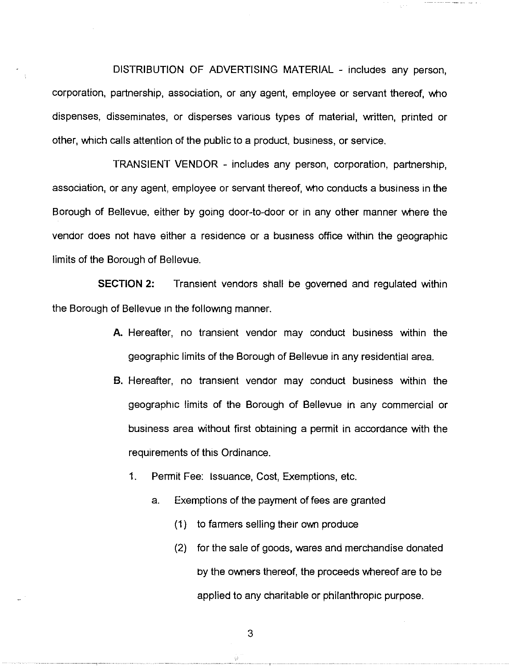DISTRIBUTION OF ADVERTISING MATERIAL - includes any person, corporation, partnership, association, or any agent, employee or servant thereof, who dispenses, disseminates, or disperses various types of material, written, printed or other, which calls attention of the public to a product. business, or service.

TRANSIENT VENDOR - includes any person, corporation, partnership, association, or any agent, employee or servant thereof, who conducts a business in the Borough of Bellevue. either by going door-to-door or 1n any other manner where the vendor does not have either a residence or a business office within the geographic limits of the Borough of Bellevue.

**SECTION 2:** Transient vendors shall be governed and regulated within the Borough of Bellevue 1n the following manner.

- **A.** Hereafter, no transient vendor may conduct business within the geographic limits of the Borough of Bellevue in any residential area.
- **B.** Hereafter, no transient vendor may conduct business within the geographic limits of the Borough of Bellevue in any commercial or business area without first obtaining a permit in accordance with the requirements of this Ordinance.
	- 1. Permit Fee: Issuance, Cost, Exemptions, etc.
		- a. Exemptions of the payment of fees are granted
			- (1) to farmers selling their own produce
			- (2) for the sale of goods, wares and merchandise donated by the owners thereof, the proceeds whereof are to be applied to any charitable or philanthropic purpose.

3

ŵ

--,--·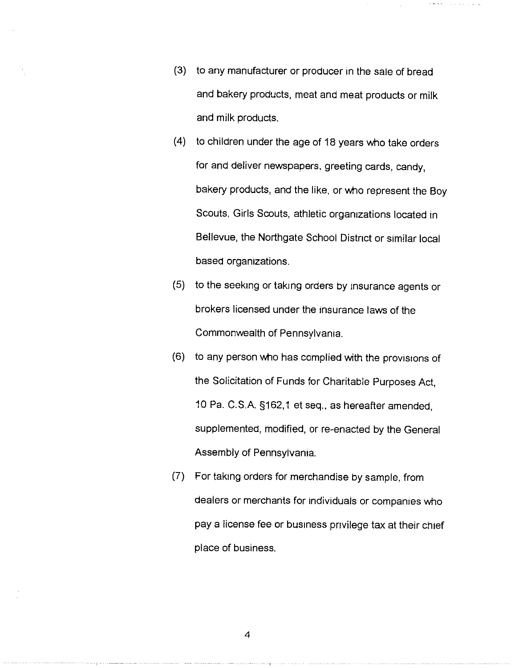(3) to any manufacturer or producer in the sale of bread and bakery products, meat and meat products or milk and milk products.

**Carl Carl** 

- (4) to children under the age of 18 years who take orders for and deliver newspapers. greeting cards. candy, bakery products, and the like. or who represent the Boy Scouts, Girls Scouts, athletic organizations located in Bellevue, the Northgate School District or similar local based organizations.
- (5) to the seeking or taking orders by insurance agents or brokers licensed under the insurance laws of the Commonwealth of Pennsylvania.
- (6) to any person who has complied with the provisions of the Solicitation of Funds for Charitable Purposes Act, 10 Pa. C.S.A. §162, 1 et seq., as hereafter amended, supplemented, modified, or re-enacted by the General Assembly of Pennsylvania.
- (7) For taking orders for merchandise by sample. from dealers or merchants for individuals or companies who pay a license fee or business privilege tax at their chief place of business.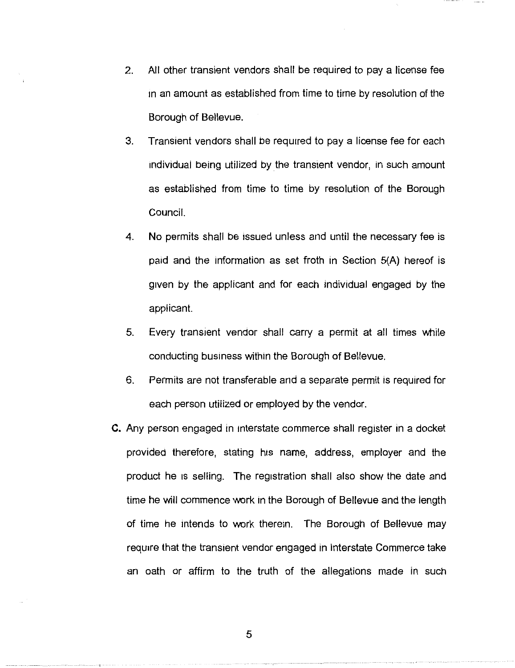- 2. All other transient vendors shall be required to pay a license fee 1n an amount as established from lime to time by resolution of the Borough of Bellevue.
- 3. Transient vendors shall be required to pay a license fee for each 1ndiv1dua1 being utiiized by the transient vendor, in such amount as established from time to time by resolution of the Borough Council.
- 4. No permits shall be issued unless and until the necessary fee is paid and the information as set froth in Section 5(A) hereof is given by the applicant and for each individual engaged by the applicant.
- 5. Every transient vendor shall carry a permit at all times while conducting business within the Borough of Bellevue.
- 6. Permits are not transferable and a separate permit is required for each person utilized or employed by the vendor.
- C. Any person engaged in interstate commerce shall register in a docket provided therefore, stating his name, address, employer and the product he 1s selling. The registration shall also show the date and lime he will commence work in the Borough of Bellevue and the length of time he intends to work therein. The Borough of Bellevue may require that the transient vendor engaged in Interstate Commerce take an oath or affirm to the truth of the allegations made in such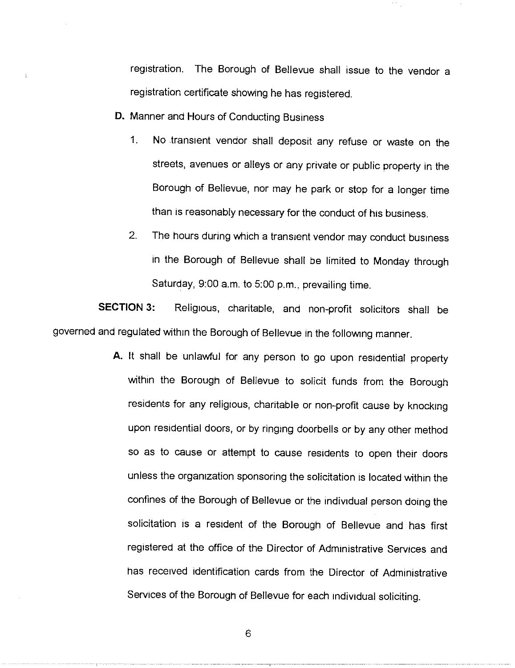registration. The Borough of Bellevue shall issue to the vendor a registration certificate showing he has registered.

**D.** Manner and Hours of Conducting Business

- 1. **No** transient vendor shall deposit any refuse or waste on the streets, avenues or alleys or any private or public property in the Borough of Bellevue, nor may he park or stop for a longer time than is reasonably necessary for the conduct of his business.
- 2. The hours during which a transient vendor may conduct business in the Borough of Bellevue shall be limited to Monday through Saturday, 9:00 a.m. to 5:00 p.m., prevailing time.

**SECTION 3:** Religious, charitable, and non-profit solicitors shall be governed and regulated within the Borough of Bellevue in the following manner.

> **A.** It shall be unlawful for any person to go upon residential property within the Borough of Bellevue to solicit funds from the Borough residents for any religious, charitable or non-profit cause by knocking upon residential doors, or by ringing doorbells or by any other method so as to cause or attempt to cause residents to open their doors unless the organization sponsoring the solicitation is located within the confines of the Borough of Bellevue or the individual person doing the solicitation 1s a resident of the Borough of Bellevue and has first registered at the office of the Director of Administrative Services and has received identification cards from the Director of Administrative Services of the Borough of Bellevue for each individual soliciting.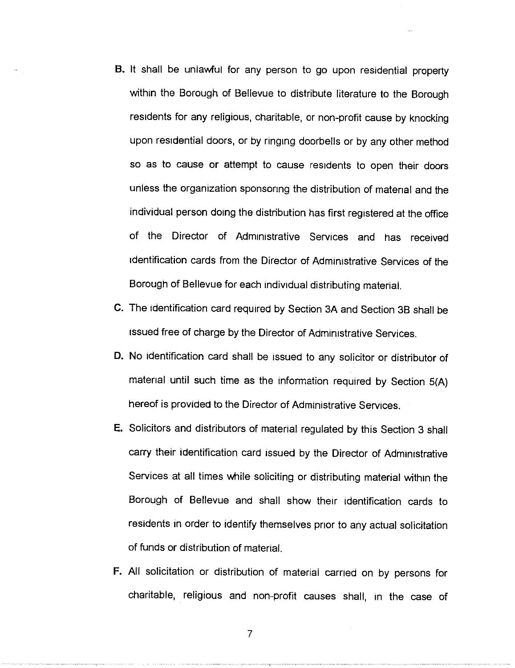- B. It shall be unlawful for any person to go upon residential property within the Borough of Bellevue to distribute literature to the Borough residents for any religious, charitable, or non-profit cause by knocking upon residential doors, or by ringing doorbells or by any other method so as to cause or attempt to cause residents to open their doors unless the organization sponsoring the distribution of material and the individual person doing the distribution has first registered at the office of the Director of Administrative Services and has received identification cards from the Director of Administrative Services of the Borough of Bellevue for each individual distributing material.
- **C.** The identification card required by Section 3A and Section 38 shall be issued free of charge by the Director of Administrative Services.
- **D.** No identification card shall be issued to any solicitor or distributor of material until such time as the information required by Section 5(A) hereof is provided to the Director of Administrative Services.
- E. Solicitors and distributors of material regulated by this Section 3 shall carry their identification card issued by the Director of Administrative Services at all times while soliciting or distributing material within the Borough of Bellevue and shall show their identification cards to residents in order to identify themselves prior to any actual solicitation of funds or distribution of material.
- F. All solicitation or distribution of material earned on by persons for charitable, religious and non-profit causes shall, in the case of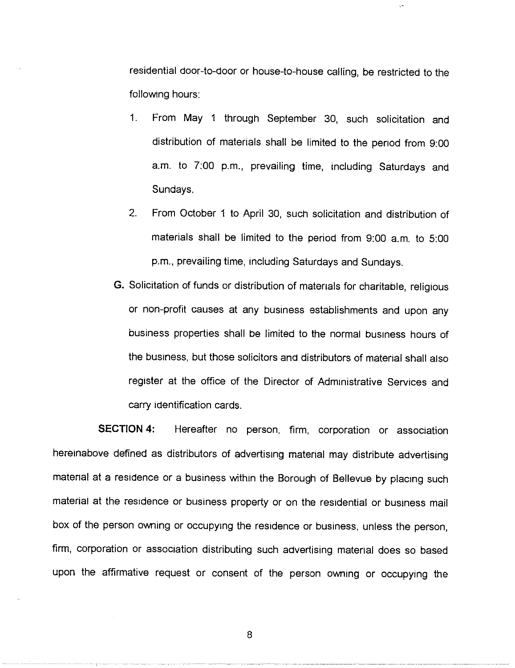residential door-to-door or house-to-house calling, be restricted to the following hours:

- 1. From May 1 through September 30, such solicitation and distribution of materials shall be limited to the period from 9:00 a.m. to 7:00 p.m., prevailing time, including Saturdays and Sundays.
- 2. From October 1 to April 30, sueh solicitation and distribution of materials shall be limited to the period from 9:00 a.m. to 5:00 p.m., prevailing time, including Saturdays and Sundays.
- **G.** Solicitation of funds or distribution of materials for charitable, religious or non-profit causes at any business establishments and upon any business properties shall be limited to the normal business hours of the business. but those solicitors and distributors of material shall also register at the office of the Director of Administrative Services and carry identification cards.

**SECTION 4:** Hereafter no person. firm, corporation or association hereinabove defined as distributors of advertising material may distribute advertising material at a residence or a business within the Borough of Bellevue by placing such material at the residence or business property or on the residential or business mail box of the person owning or occupying the residence or business, unless the person, firm, corporation or association distributing such advertising material does so based upon the affirmative request or consent of the person owning or occupying the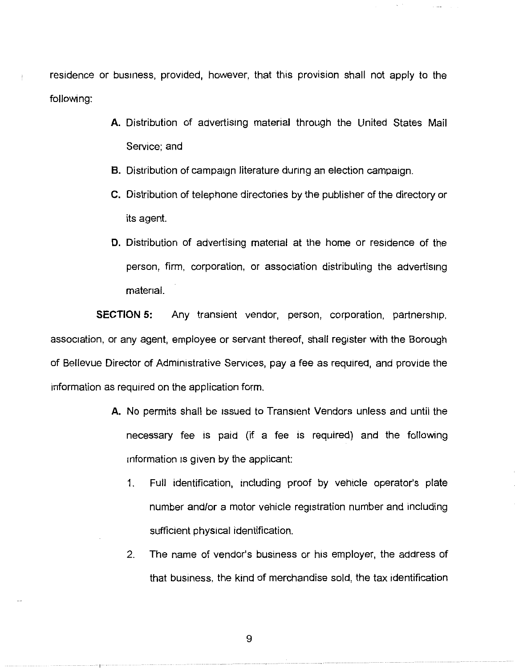residence or business, provided, however, that this provision shall not apply to the following:

- **A.** Distribution of advertising material through the United States Mail Service; and
- **B.** Distribution of campaign literature during an election campaign.
- **C.** Distribution of telephone directories by the publisher of the directory or its agent.
- **D.** Distribution of advertising material at the home or residence of the person, firm. corporation, or association distributing the advertising material.

**SECTION 5:** Any transient vendor, person, corporation, partnership. association, or any agent, employee or servant thereof, shall register with the Borough of Bellevue Director of Administrative Services, pay a fee as required, and provide the information as required on the application form.

- **A.** No permits shall be issued to Transient Vendors unless and until the necessary fee is paid (if a fee is required) and the following information 1s given by the applicant:
	- 1 Full identification, including proof by vehicle operator's plate number and/or a motor vehicle registration number and including sufficient physical identification.
	- 2. The name of vendor's business or his employer, the address of that business. the kind of merchandise sold, the tax identification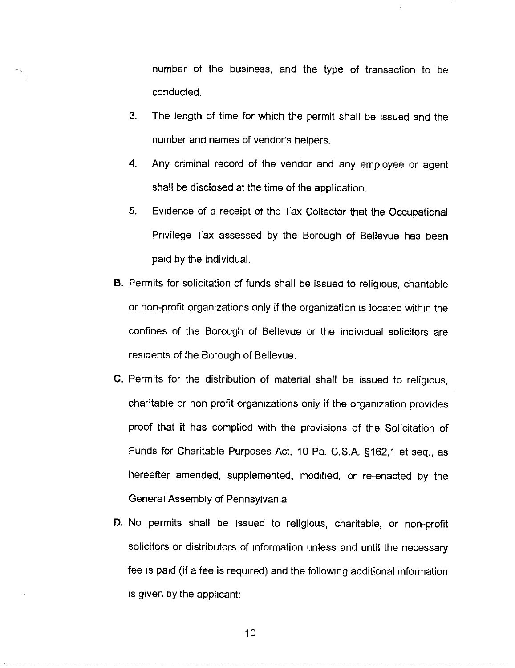number of the business, and the type of transaction to be conducted.

- 3. The length of time for which the permit shall be issued and the number and names of vendor's helpers.
- 4. Any criminal record of the vendor and any employee or agent shall be disclosed at the time of the application.
- 5. Evidence of a receipt of the Tax Collector that the Occupational Privilege Tax assessed by the Borough of Bellevue has been paid by the individual.
- B. Permits for solicitation of funds shall be issued to religious, charitable or non-profit organizations only if the organization is located within the confines of the Borough of Bellevue or the individual solicitors are residents of the Borough of Bellevue.
- C. Permits for the distribution of material shall be issued to religious, charitable or non profit organizations only if the organization provides proof that it has complied with the provisions of the Solicitation of Funds for Charitable Purposes Act, 10 Pa. C.S.A. §162,1 et seq., as hereafter amended, supplemented, modified. or re-enacted by the General Assembly of Pennsylvania.
- D. No permits shall be issued to religious, charitable, or non-profit solicitors or distributors of information unless and until the necessary fee is paid (if a fee is required) and the following additional information is given by the applicant: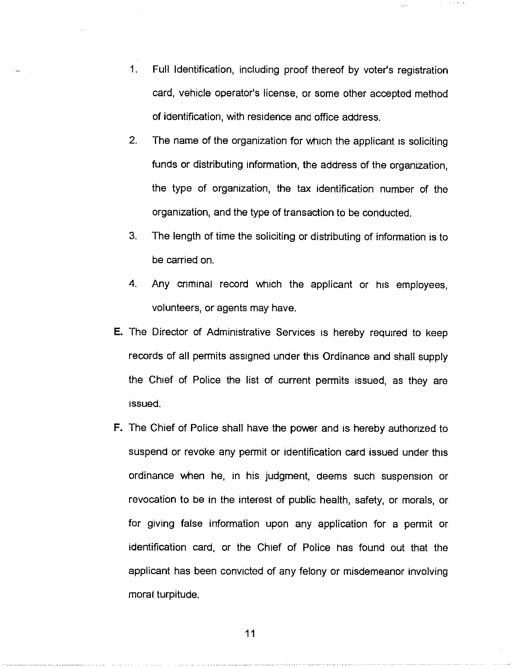- 1. Full Identification, including proof thereof by voter's registration card, vehicle operator's license, or some other accepted method of identification, with residence and office address.
- 2. The name of the organization for which the applicant is soliciting funds or distributing information, the address of the organization, the type of organization, the tax identification number of the organization, and the type of transaction to be conducted.
- 3. The length of time the soliciting or distributing of information is to be carried on.
- 4. Any criminal record which the applicant or his employees, volunteers, or agents may have.
- E. The Director of Administrative Services 1s hereby required to keep records of all permits assigned under this Ordinance and shall supply the Chief of Police the list of current permits issued, as they are issued.
- F. The Chief of Police shall have the power and is hereby authorized to suspend or revoke any permit or identification card issued under this ordinance when he, in his Judgment, deems such suspension or revocation to be in the interest of public health, safety, or morals, or for giving false information upon any application for a permit or identification card, or the Chief of Police has found out that the applicant has been convicted of any felony or misdemeanor involving moral turpitude.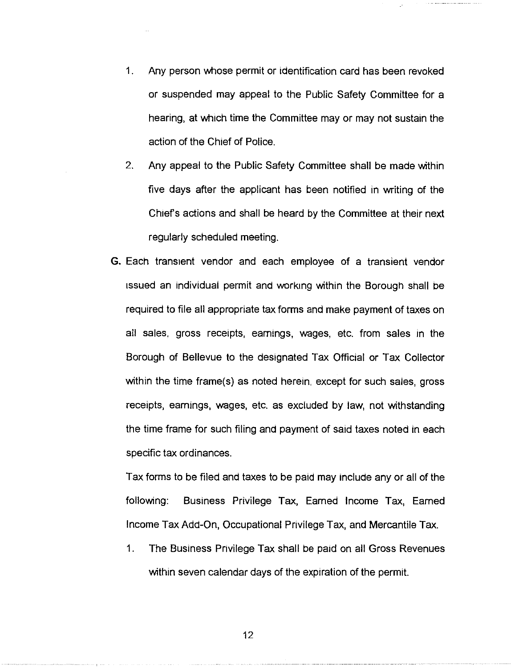- 1 . Any person whose permit or identification card has been revoked or suspended may appeal to the Public Safety Committee for a hearing, at which time the Committee may or may not sustain the action of the Chief of Police.
- 2. Any appeal to the Public Safety Committee shall be made within five days after the applicant has been notified in writing of the Chief's actions and shall be heard by the Committee at their next regularly scheduled meeting.
- G. Each transient vendor and each employee of a transient vendor issued an individual permit and working within the Borough shall be required to file all appropriate tax forms and make payment of taxes on all sales, gross receipts, earnings, wages, etc. from sales in the Borough of Bellevue to the designated Tax Official or Tax Collector within the time frame(s) as noted herein, except for such sales, gross receipts, earnings, wages, etc. as excluded by law, not withstanding the time frame for such filing and payment of said taxes noted in each specific tax ordinances.

Tax forms to be filed and taxes to be paid may include any or all of the following: Business Privilege Tax, Earned Income Tax, Earned Income Tax Add-On, Occupational Privilege Tax, and Mercantile Tax.

1. The Business Privilege Tax shall be paid on all Gross Revenues within seven calendar days of the expiration of the permit.